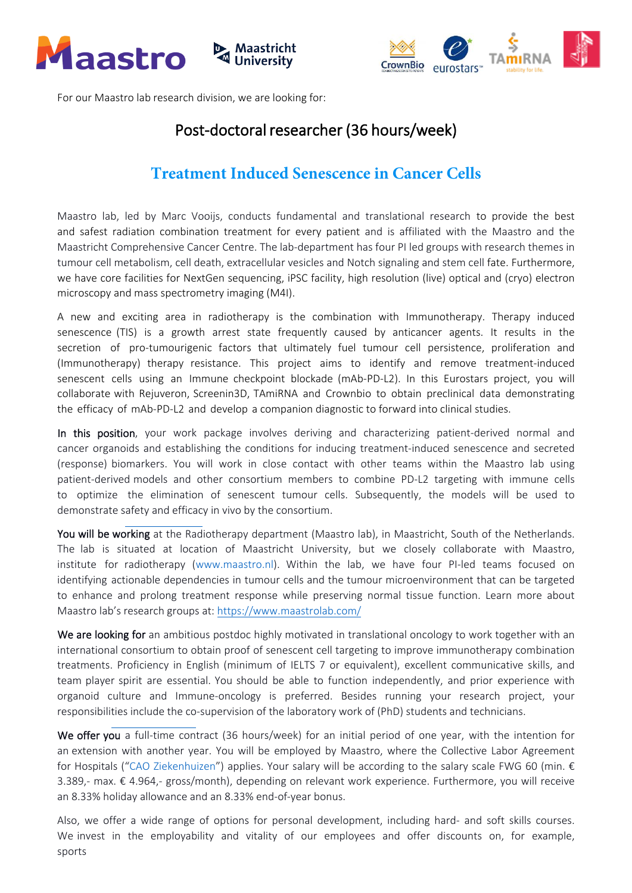



For our Maastro lab research division, we are looking for:

## Post-doctoral researcher (36 hours/week)

## **Treatment Induced Senescence in Cancer Cells**

Maastro lab, led by Marc Vooijs, conducts fundamental and translational research to provide the best and safest radiation combination treatment for every patient and is affiliated with the Maastro and the Maastricht Comprehensive Cancer Centre. The lab-department has four PI led groups with research themes in tumour cell metabolism, cell death, extracellular vesicles and Notch signaling and stem cell fate. Furthermore, we have core facilities for NextGen sequencing, iPSC facility, high resolution (live) optical and (cryo) electron microscopy and mass spectrometry imaging (M4I).

A new and exciting area in radiotherapy is the combination with Immunotherapy. Therapy induced senescence (TIS) is a growth arrest state frequently caused by anticancer agents. It results in the secretion of pro-tumourigenic factors that ultimately fuel tumour cell persistence, proliferation and (Immunotherapy) therapy resistance. This project aims to identify and remove treatment-induced senescent cells using an Immune checkpoint blockade (mAb-PD-L2). In this Eurostars project, you will collaborate with Rejuveron, Screenin3D, TAmiRNA and Crownbio to obtain preclinical data demonstrating the efficacy of mAb-PD-L2 and develop a companion diagnostic to forward into clinical studies.

In this position, your work package involves deriving and characterizing patient-derived normal and cancer organoids and establishing the conditions for inducing treatment-induced senescence and secreted (response) biomarkers. You will work in close contact with other teams within the Maastro lab using patient-derived models and other consortium members to combine PD-L2 targeting with immune cells to optimize the elimination of senescent tumour cells. Subsequently, the models will be used to demonstrate safety and efficacy in vivo by the consortium.

You will be working at the Radiotherapy department (Maastro lab), in Maastricht, South of the Netherlands. The lab is situated at location of Maastricht University, but we closely collaborate with Maastro, in[stitute for radiotherapy](https://www.maastrolab.com/) [\(www.maastro.nl\)](http://www.maastro.nl/). Within the lab, we have four PI-led teams focused on identifying actionable dependencies in tumour cells and the tumour microenvironment that can be targeted to enhance and prolong treatment response while preserving normal tissue function. Learn more about Maastro lab's research groups at: https://www.maastrolab.com/

We are looking for an ambitious postdoc highly motivated in translational oncology to work together with an international consortium to obtain proof of senescent cell targeting to improve immunotherapy combination treatments. Proficiency in English (minimum of IELTS 7 or equivalent), excellent communicative skills, and team player spirit are essential. You should be able to function independently, and prior experience with organoid culture and Immune-oncology is preferred. Besides running your research project, your responsibilities include the co-supervision of the laboratory work of (PhD) students and technicians.

We offer you a full-time contract (36 hours/week) for an initial period of one year, with the intention for an extension with another year. You will be employed by Maastro, where the Collective Labor Agreement for Hospitals ("[CAO Ziekenhuizen](https://cao-ziekenhuizen.nl/)") applies. Your salary will be according to the salary scale FWG 60 (min. € 3.389,- max. € 4.964,- gross/month), depending on relevant work experience. Furthermore, you will receive an 8.33% holiday allowance and an 8.33% end-of-year bonus.

Also, we offer a wide range of options for personal development, including hard- and soft skills courses. We invest in the employability and vitality of our employees and offer discounts on, for example, sports